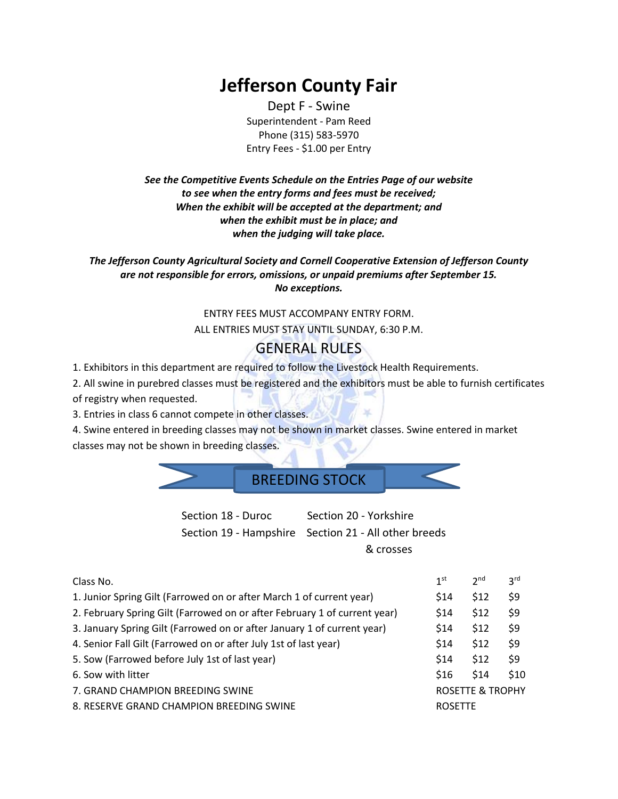# **Jefferson County Fair**

Dept F - Swine Superintendent - Pam Reed Phone (315) 583-5970 Entry Fees - \$1.00 per Entry

*See the Competitive Events Schedule on the Entries Page of our website to see when the entry forms and fees must be received; When the exhibit will be accepted at the department; and when the exhibit must be in place; and when the judging will take place.*

*The Jefferson County Agricultural Society and Cornell Cooperative Extension of Jefferson County are not responsible for errors, omissions, or unpaid premiums after September 15. No exceptions.*

### ENTRY FEES MUST ACCOMPANY ENTRY FORM.

ALL ENTRIES MUST STAY UNTIL SUNDAY, 6:30 P.M.

#### GENERAL RULES

1. Exhibitors in this department are required to follow the Livestock Health Requirements.

2. All swine in purebred classes must be registered and the exhibitors must be able to furnish certificates

of registry when requested.

3. Entries in class 6 cannot compete in other classes.

4. Swine entered in breeding classes may not be shown in market classes. Swine entered in market classes may not be shown in breeding classes.

#### BREEDING STOCK

Section 18 - Duroc Section 20 - Yorkshire Section 19 - Hampshire Section 21 - All other breeds & crosses

| Class No.                                                                 | 1st                         | 2 <sub>nd</sub> | 3 <sup>rd</sup> |  |
|---------------------------------------------------------------------------|-----------------------------|-----------------|-----------------|--|
| 1. Junior Spring Gilt (Farrowed on or after March 1 of current year)      | <b>S14</b>                  | \$12            | \$9             |  |
| 2. February Spring Gilt (Farrowed on or after February 1 of current year) | \$14                        | \$12            | \$9             |  |
| 3. January Spring Gilt (Farrowed on or after January 1 of current year)   | \$14                        | \$12            | \$9             |  |
| 4. Senior Fall Gilt (Farrowed on or after July 1st of last year)          | \$14                        | \$12            | \$9             |  |
| 5. Sow (Farrowed before July 1st of last year)                            |                             | \$12            | \$9             |  |
| 6. Sow with litter                                                        | \$16                        | \$14            | \$10            |  |
| 7. GRAND CHAMPION BREEDING SWINE                                          | <b>ROSETTE &amp; TROPHY</b> |                 |                 |  |
| 8. RESERVE GRAND CHAMPION BREEDING SWINE                                  | <b>ROSETTE</b>              |                 |                 |  |